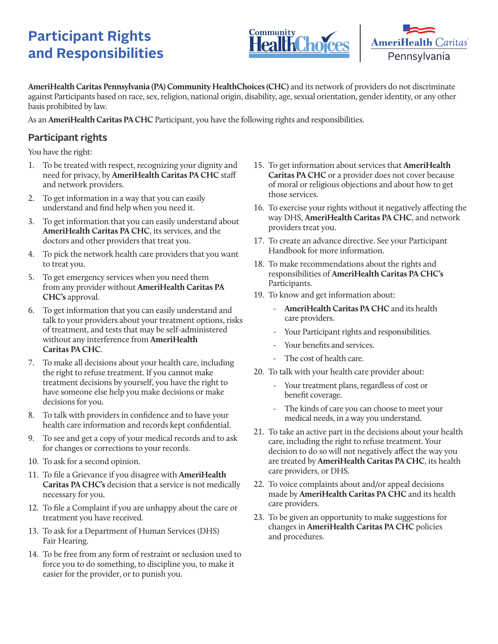## **Participant Rights and Responsibilities**





**AmeriHealth Caritas Pennsylvania (PA) Community HealthChoices (CHC)** and its network of providers do not discriminate against Participants based on race, sex, religion, national origin, disability, age, sexual orientation, gender identity, or any other basis prohibited by law.

As an **AmeriHealth Caritas PA CHC** Participant, you have the following rights and responsibilities.

## **Participant rights**

You have the right:

- 1. To be treated with respect, recognizing your dignity and need for privacy, by **AmeriHealth Caritas PA CHC** staff and network providers.
- 2. To get information in a way that you can easily understand and find help when you need it.
- 3. To get information that you can easily understand about **AmeriHealth Caritas PA CHC**, its services, and the doctors and other providers that treat you.
- 4. To pick the network health care providers that you want to treat you.
- 5. To get emergency services when you need them from any provider without **AmeriHealth Caritas PA CHC's** approval.
- 6. To get information that you can easily understand and talk to your providers about your treatment options, risks of treatment, and tests that may be self-administered without any interference from **AmeriHealth Caritas PA CHC**.
- 7. To make all decisions about your health care, including the right to refuse treatment. If you cannot make treatment decisions by yourself, you have the right to have someone else help you make decisions or make decisions for you.
- 8. To talk with providers in confidence and to have your health care information and records kept confidential.
- 9. To see and get a copy of your medical records and to ask for changes or corrections to your records.
- 10. To ask for a second opinion.
- 11. To file a Grievance if you disagree with **AmeriHealth Caritas PA CHC's** decision that a service is not medically necessary for you.
- 12. To file a Complaint if you are unhappy about the care or treatment you have received.
- 13. To ask for a Department of Human Services (DHS) Fair Hearing.
- 14. To be free from any form of restraint or seclusion used to force you to do something, to discipline you, to make it easier for the provider, or to punish you.
- 15. To get information about services that **AmeriHealth Caritas PA CHC** or a provider does not cover because of moral or religious objections and about how to get those services.
- 16. To exercise your rights without it negatively affecting the way DHS, **AmeriHealth Caritas PA CHC**, and network providers treat you.
- 17. To create an advance directive. See your Participant Handbook for more information.
- 18. To make recommendations about the rights and responsibilities of **AmeriHealth Caritas PA CHC's** Participants.
- 19. To know and get information about:
	- **AmeriHealth Caritas PA CHC** and its health care providers.
	- Your Participant rights and responsibilities.
	- Your benefits and services.
	- The cost of health care.
- 20. To talk with your health care provider about:
	- Your treatment plans, regardless of cost or benefit coverage.
	- The kinds of care you can choose to meet your medical needs, in a way you understand.
- 21. To take an active part in the decisions about your health care, including the right to refuse treatment. Your decision to do so will not negatively affect the way you are treated by **AmeriHealth Caritas PA CHC**, its health care providers, or DHS.
- 22. To voice complaints about and/or appeal decisions made by **AmeriHealth Caritas PA CHC** and its health care providers.
- 23. To be given an opportunity to make suggestions for changes in **AmeriHealth Caritas PA CHC** policies and procedures.